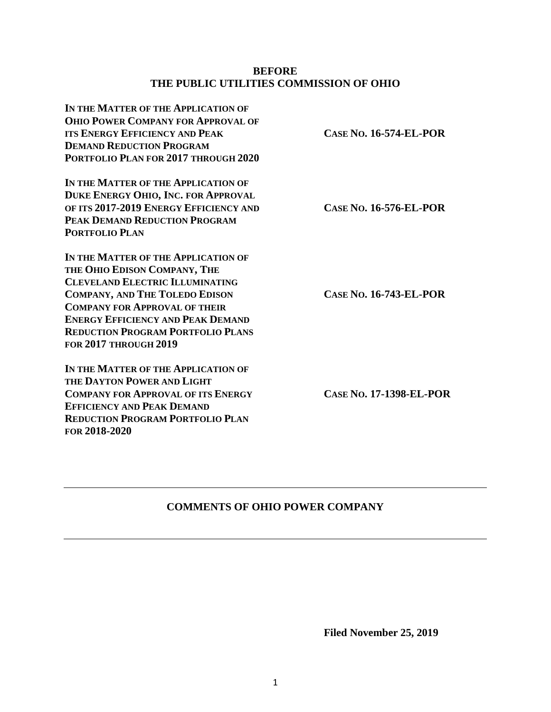### **BEFORE THE PUBLIC UTILITIES COMMISSION OF OHIO**

| IN THE MATTER OF THE APPLICATION OF<br><b>OHIO POWER COMPANY FOR APPROVAL OF</b><br><b>ITS ENERGY EFFICIENCY AND PEAK</b><br><b>DEMAND REDUCTION PROGRAM</b><br>PORTFOLIO PLAN FOR 2017 THROUGH 2020                                                                                                                   | <b>CASE NO. 16-574-EL-POR</b>  |
|------------------------------------------------------------------------------------------------------------------------------------------------------------------------------------------------------------------------------------------------------------------------------------------------------------------------|--------------------------------|
| IN THE MATTER OF THE APPLICATION OF<br>DUKE ENERGY OHIO, INC. FOR APPROVAL<br>OF ITS 2017-2019 ENERGY EFFICIENCY AND<br>PEAK DEMAND REDUCTION PROGRAM<br><b>PORTFOLIO PLAN</b>                                                                                                                                         | <b>CASE NO. 16-576-EL-POR</b>  |
| IN THE MATTER OF THE APPLICATION OF<br>THE OHIO EDISON COMPANY, THE<br><b>CLEVELAND ELECTRIC ILLUMINATING</b><br><b>COMPANY, AND THE TOLEDO EDISON</b><br><b>COMPANY FOR APPROVAL OF THEIR</b><br><b>ENERGY EFFICIENCY AND PEAK DEMAND</b><br><b>REDUCTION PROGRAM PORTFOLIO PLANS</b><br><b>FOR 2017 THROUGH 2019</b> | <b>CASE NO. 16-743-EL-POR</b>  |
| IN THE MATTER OF THE APPLICATION OF<br>THE DAYTON POWER AND LIGHT<br><b>COMPANY FOR APPROVAL OF ITS ENERGY</b><br><b>EFFICIENCY AND PEAK DEMAND</b><br><b>REDUCTION PROGRAM PORTFOLIO PLAN</b><br>FOR 2018-2020                                                                                                        | <b>CASE NO. 17-1398-EL-POR</b> |

## **COMMENTS OF OHIO POWER COMPANY**

**Filed November 25, 2019**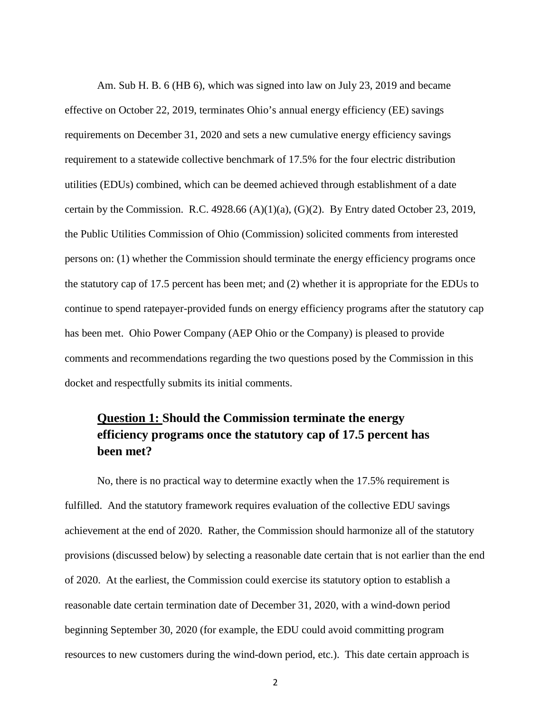Am. Sub H. B. 6 (HB 6), which was signed into law on July 23, 2019 and became effective on October 22, 2019, terminates Ohio's annual energy efficiency (EE) savings requirements on December 31, 2020 and sets a new cumulative energy efficiency savings requirement to a statewide collective benchmark of 17.5% for the four electric distribution utilities (EDUs) combined, which can be deemed achieved through establishment of a date certain by the Commission. R.C.  $4928.66$  (A)(1)(a), (G)(2). By Entry dated October 23, 2019, the Public Utilities Commission of Ohio (Commission) solicited comments from interested persons on: (1) whether the Commission should terminate the energy efficiency programs once the statutory cap of 17.5 percent has been met; and (2) whether it is appropriate for the EDUs to continue to spend ratepayer-provided funds on energy efficiency programs after the statutory cap has been met. Ohio Power Company (AEP Ohio or the Company) is pleased to provide comments and recommendations regarding the two questions posed by the Commission in this docket and respectfully submits its initial comments.

# **Question 1: Should the Commission terminate the energy efficiency programs once the statutory cap of 17.5 percent has been met?**

No, there is no practical way to determine exactly when the 17.5% requirement is fulfilled. And the statutory framework requires evaluation of the collective EDU savings achievement at the end of 2020. Rather, the Commission should harmonize all of the statutory provisions (discussed below) by selecting a reasonable date certain that is not earlier than the end of 2020. At the earliest, the Commission could exercise its statutory option to establish a reasonable date certain termination date of December 31, 2020, with a wind-down period beginning September 30, 2020 (for example, the EDU could avoid committing program resources to new customers during the wind-down period, etc.). This date certain approach is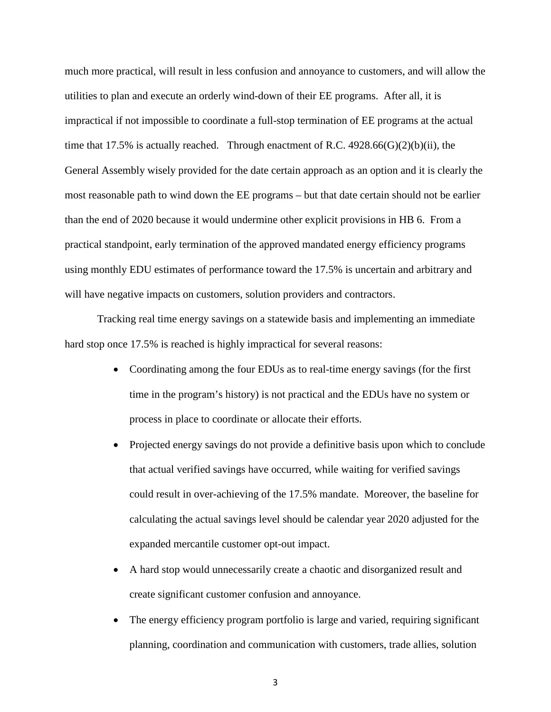much more practical, will result in less confusion and annoyance to customers, and will allow the utilities to plan and execute an orderly wind-down of their EE programs. After all, it is impractical if not impossible to coordinate a full-stop termination of EE programs at the actual time that 17.5% is actually reached. Through enactment of R.C.  $4928.66(G)(2)(b)(ii)$ , the General Assembly wisely provided for the date certain approach as an option and it is clearly the most reasonable path to wind down the EE programs – but that date certain should not be earlier than the end of 2020 because it would undermine other explicit provisions in HB 6. From a practical standpoint, early termination of the approved mandated energy efficiency programs using monthly EDU estimates of performance toward the 17.5% is uncertain and arbitrary and will have negative impacts on customers, solution providers and contractors.

Tracking real time energy savings on a statewide basis and implementing an immediate hard stop once 17.5% is reached is highly impractical for several reasons:

- Coordinating among the four EDUs as to real-time energy savings (for the first time in the program's history) is not practical and the EDUs have no system or process in place to coordinate or allocate their efforts.
- Projected energy savings do not provide a definitive basis upon which to conclude that actual verified savings have occurred, while waiting for verified savings could result in over-achieving of the 17.5% mandate. Moreover, the baseline for calculating the actual savings level should be calendar year 2020 adjusted for the expanded mercantile customer opt-out impact.
- A hard stop would unnecessarily create a chaotic and disorganized result and create significant customer confusion and annoyance.
- The energy efficiency program portfolio is large and varied, requiring significant planning, coordination and communication with customers, trade allies, solution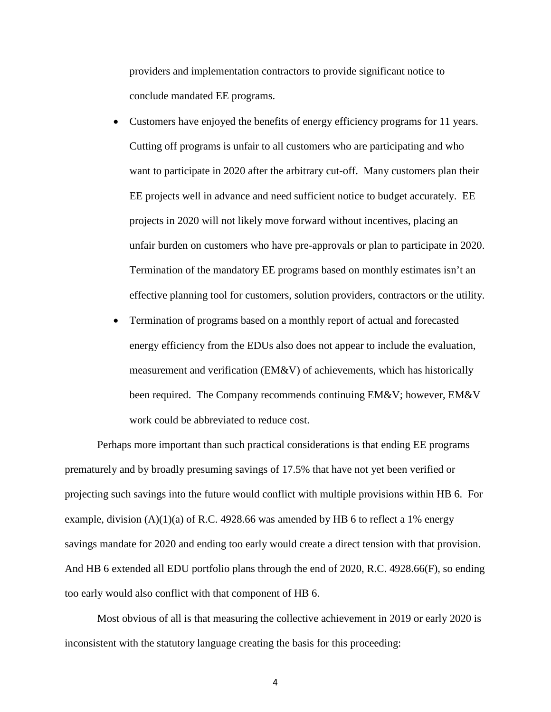providers and implementation contractors to provide significant notice to conclude mandated EE programs.

- Customers have enjoyed the benefits of energy efficiency programs for 11 years. Cutting off programs is unfair to all customers who are participating and who want to participate in 2020 after the arbitrary cut-off. Many customers plan their EE projects well in advance and need sufficient notice to budget accurately. EE projects in 2020 will not likely move forward without incentives, placing an unfair burden on customers who have pre-approvals or plan to participate in 2020. Termination of the mandatory EE programs based on monthly estimates isn't an effective planning tool for customers, solution providers, contractors or the utility.
- Termination of programs based on a monthly report of actual and forecasted energy efficiency from the EDUs also does not appear to include the evaluation, measurement and verification (EM&V) of achievements, which has historically been required. The Company recommends continuing EM&V; however, EM&V work could be abbreviated to reduce cost.

Perhaps more important than such practical considerations is that ending EE programs prematurely and by broadly presuming savings of 17.5% that have not yet been verified or projecting such savings into the future would conflict with multiple provisions within HB 6. For example, division  $(A)(1)(a)$  of R.C. 4928.66 was amended by HB 6 to reflect a 1% energy savings mandate for 2020 and ending too early would create a direct tension with that provision. And HB 6 extended all EDU portfolio plans through the end of 2020, R.C. 4928.66(F), so ending too early would also conflict with that component of HB 6.

Most obvious of all is that measuring the collective achievement in 2019 or early 2020 is inconsistent with the statutory language creating the basis for this proceeding:

4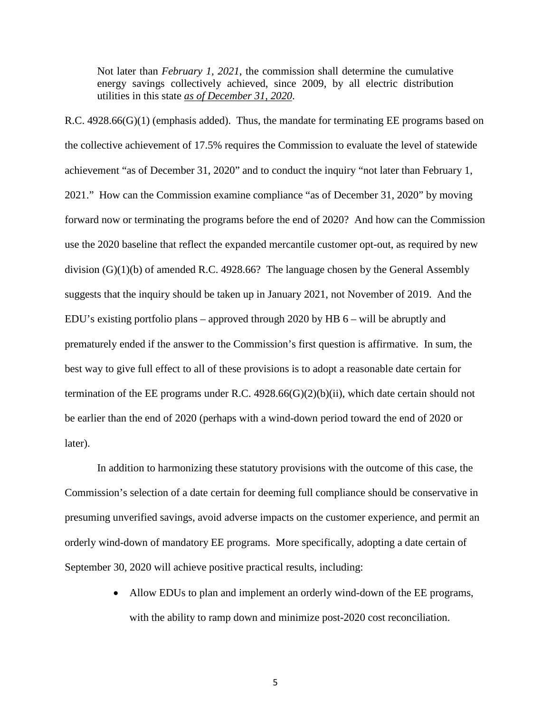Not later than *February 1, 2021*, the commission shall determine the cumulative energy savings collectively achieved, since 2009, by all electric distribution utilities in this state *as of December 31, 2020*.

R.C. 4928.66(G)(1) (emphasis added). Thus, the mandate for terminating EE programs based on the collective achievement of 17.5% requires the Commission to evaluate the level of statewide achievement "as of December 31, 2020" and to conduct the inquiry "not later than February 1, 2021." How can the Commission examine compliance "as of December 31, 2020" by moving forward now or terminating the programs before the end of 2020? And how can the Commission use the 2020 baseline that reflect the expanded mercantile customer opt-out, as required by new division (G)(1)(b) of amended R.C. 4928.66? The language chosen by the General Assembly suggests that the inquiry should be taken up in January 2021, not November of 2019. And the EDU's existing portfolio plans – approved through 2020 by HB 6 – will be abruptly and prematurely ended if the answer to the Commission's first question is affirmative. In sum, the best way to give full effect to all of these provisions is to adopt a reasonable date certain for termination of the EE programs under R.C. 4928.66(G)(2)(b)(ii), which date certain should not be earlier than the end of 2020 (perhaps with a wind-down period toward the end of 2020 or later).

In addition to harmonizing these statutory provisions with the outcome of this case, the Commission's selection of a date certain for deeming full compliance should be conservative in presuming unverified savings, avoid adverse impacts on the customer experience, and permit an orderly wind-down of mandatory EE programs. More specifically, adopting a date certain of September 30, 2020 will achieve positive practical results, including:

> • Allow EDUs to plan and implement an orderly wind-down of the EE programs, with the ability to ramp down and minimize post-2020 cost reconciliation.

> > 5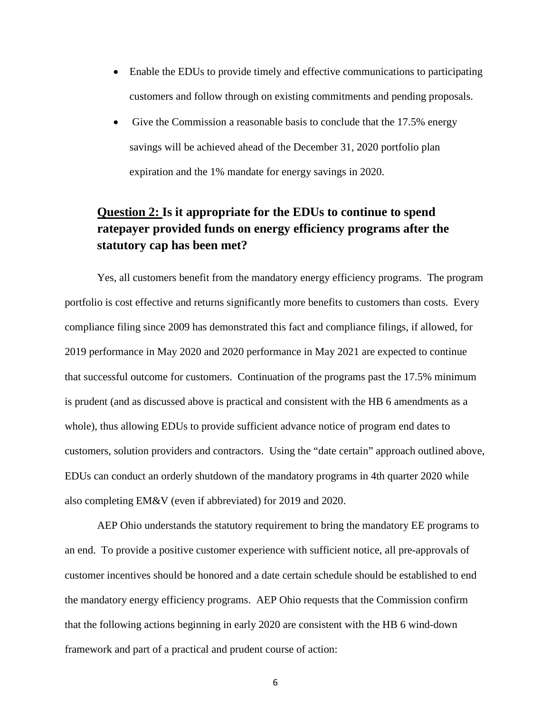- Enable the EDUs to provide timely and effective communications to participating customers and follow through on existing commitments and pending proposals.
- Give the Commission a reasonable basis to conclude that the 17.5% energy savings will be achieved ahead of the December 31, 2020 portfolio plan expiration and the 1% mandate for energy savings in 2020.

## **Question 2: Is it appropriate for the EDUs to continue to spend ratepayer provided funds on energy efficiency programs after the statutory cap has been met?**

Yes, all customers benefit from the mandatory energy efficiency programs. The program portfolio is cost effective and returns significantly more benefits to customers than costs. Every compliance filing since 2009 has demonstrated this fact and compliance filings, if allowed, for 2019 performance in May 2020 and 2020 performance in May 2021 are expected to continue that successful outcome for customers. Continuation of the programs past the 17.5% minimum is prudent (and as discussed above is practical and consistent with the HB 6 amendments as a whole), thus allowing EDUs to provide sufficient advance notice of program end dates to customers, solution providers and contractors. Using the "date certain" approach outlined above, EDUs can conduct an orderly shutdown of the mandatory programs in 4th quarter 2020 while also completing EM&V (even if abbreviated) for 2019 and 2020.

AEP Ohio understands the statutory requirement to bring the mandatory EE programs to an end. To provide a positive customer experience with sufficient notice, all pre-approvals of customer incentives should be honored and a date certain schedule should be established to end the mandatory energy efficiency programs. AEP Ohio requests that the Commission confirm that the following actions beginning in early 2020 are consistent with the HB 6 wind-down framework and part of a practical and prudent course of action: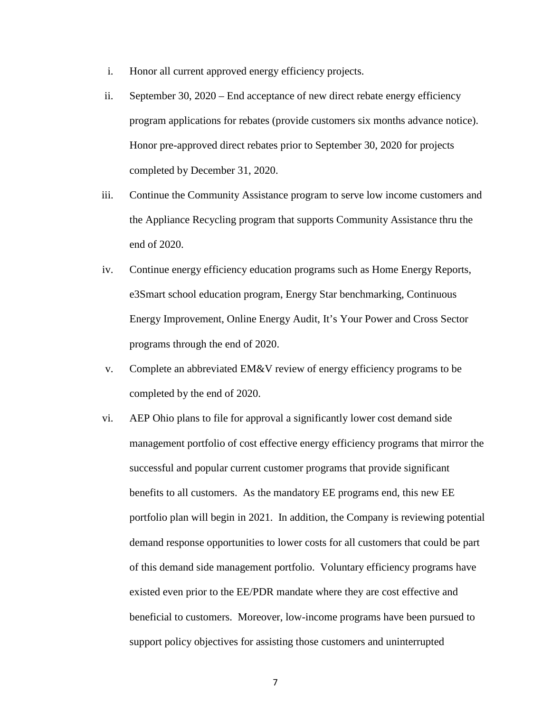- i. Honor all current approved energy efficiency projects.
- ii. September 30, 2020 End acceptance of new direct rebate energy efficiency program applications for rebates (provide customers six months advance notice). Honor pre-approved direct rebates prior to September 30, 2020 for projects completed by December 31, 2020.
- iii. Continue the Community Assistance program to serve low income customers and the Appliance Recycling program that supports Community Assistance thru the end of 2020.
- iv. Continue energy efficiency education programs such as Home Energy Reports, e3Smart school education program, Energy Star benchmarking, Continuous Energy Improvement, Online Energy Audit, It's Your Power and Cross Sector programs through the end of 2020.
- v. Complete an abbreviated EM&V review of energy efficiency programs to be completed by the end of 2020.
- vi. AEP Ohio plans to file for approval a significantly lower cost demand side management portfolio of cost effective energy efficiency programs that mirror the successful and popular current customer programs that provide significant benefits to all customers. As the mandatory EE programs end, this new EE portfolio plan will begin in 2021. In addition, the Company is reviewing potential demand response opportunities to lower costs for all customers that could be part of this demand side management portfolio. Voluntary efficiency programs have existed even prior to the EE/PDR mandate where they are cost effective and beneficial to customers. Moreover, low-income programs have been pursued to support policy objectives for assisting those customers and uninterrupted

7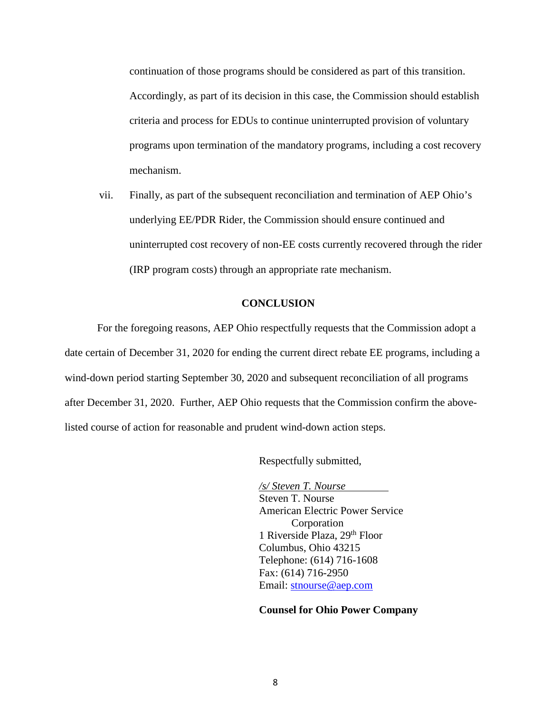continuation of those programs should be considered as part of this transition. Accordingly, as part of its decision in this case, the Commission should establish criteria and process for EDUs to continue uninterrupted provision of voluntary programs upon termination of the mandatory programs, including a cost recovery mechanism.

vii. Finally, as part of the subsequent reconciliation and termination of AEP Ohio's underlying EE/PDR Rider, the Commission should ensure continued and uninterrupted cost recovery of non-EE costs currently recovered through the rider (IRP program costs) through an appropriate rate mechanism.

#### **CONCLUSION**

For the foregoing reasons, AEP Ohio respectfully requests that the Commission adopt a date certain of December 31, 2020 for ending the current direct rebate EE programs, including a wind-down period starting September 30, 2020 and subsequent reconciliation of all programs after December 31, 2020. Further, AEP Ohio requests that the Commission confirm the abovelisted course of action for reasonable and prudent wind-down action steps.

Respectfully submitted,

*/s/ Steven T. Nourse* Steven T. Nourse American Electric Power Service Corporation 1 Riverside Plaza, 29th Floor Columbus, Ohio 43215 Telephone: (614) 716-1608 Fax: (614) 716-2950 Email: [stnourse@aep.com](mailto:stnourse@aep.com)

#### **Counsel for Ohio Power Company**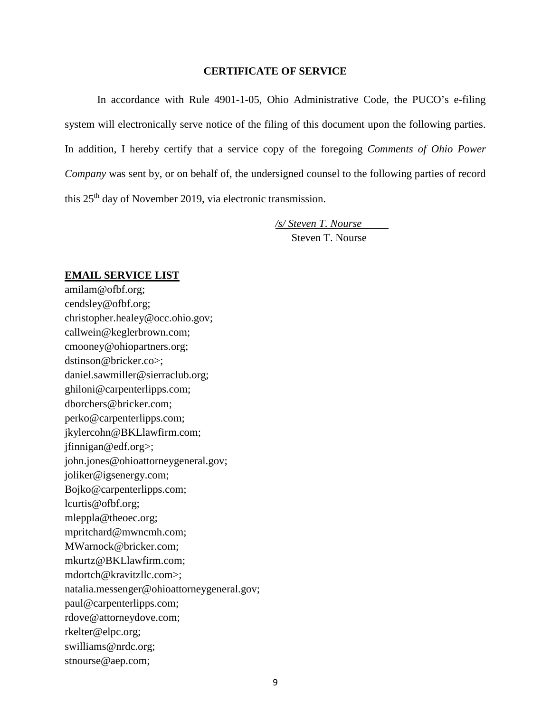#### **CERTIFICATE OF SERVICE**

In accordance with Rule 4901-1-05, Ohio Administrative Code, the PUCO's e-filing system will electronically serve notice of the filing of this document upon the following parties. In addition, I hereby certify that a service copy of the foregoing *Comments of Ohio Power Company* was sent by, or on behalf of, the undersigned counsel to the following parties of record this 25<sup>th</sup> day of November 2019, via electronic transmission.

> */s/ Steven T. Nourse* Steven T. Nourse

#### **EMAIL SERVICE LIST**

amilam@ofbf.org; cendsley@ofbf.org; christopher.healey@occ.ohio.gov; callwein@keglerbrown.com; cmooney@ohiopartners.org; dstinson@bricker.co>; daniel.sawmiller@sierraclub.org; ghiloni@carpenterlipps.com; dborchers@bricker.com; perko@carpenterlipps.com; jkylercohn@BKLlawfirm.com; jfinnigan@edf.org>; [john.jones@ohioattorneygeneral.gov;](mailto:john.jones@ohioattorneygeneral.gov) joliker@igsenergy.com; Bojko@carpenterlipps.com; lcurtis@ofbf.org; mleppla@theoec.org; mpritchard@mwncmh.com; MWarnock@bricker.com; mkurtz@BKLlawfirm.com; mdortch@kravitzllc.com>; natalia.messenger@ohioattorneygeneral.gov; paul@carpenterlipps.com; rdove@attorneydove.com; rkelter@elpc.org; swilliams@nrdc.org; stnourse@aep.com;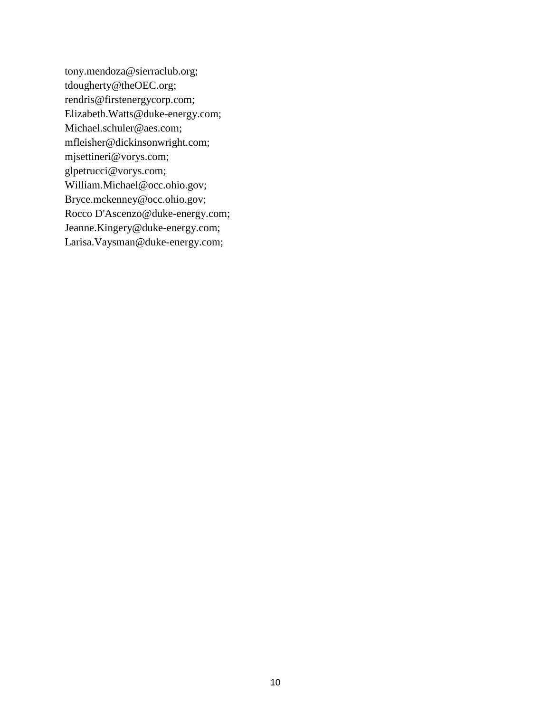tony.mendoza@sierraclub.org; [tdougherty@theOEC.org;](mailto:tdougherty@theOEC.org) [rendris@firstenergycorp.com;](mailto:rendris@firstenergycorp.com) [Elizabeth.Watts@duke-energy.com;](mailto:Elizabeth.Watts@duke-energy.com) [Michael.schuler@aes.com;](mailto:Michael.schuler@aes.com) [mfleisher@dickinsonwright.com;](mailto:mfleisher@dickinsonwright.com) [mjsettineri@vorys.com;](mailto:mjsettineri@vorys.com) [glpetrucci@vorys.com;](mailto:glpetrucci@vorys.com) [William.Michael@occ.ohio.gov;](mailto:William.Michael@occ.ohio.gov) [Bryce.mckenney@occ.ohio.gov;](mailto:Bryce.mckenney@occ.ohio.gov) Rocco D'Ascenzo@duke-energy.com; [Jeanne.Kingery@duke-energy.com;](mailto:Jeanne.Kingery@duke-energy.com) Larisa.Vaysman@duke-energy.com;